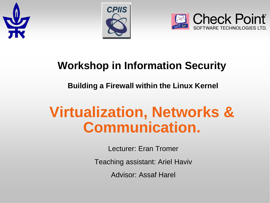





#### **Workshop in Information Security**

**Building a Firewall within the Linux Kernel** 

# **Virtualization, Networks & Communication.**

Lecturer: Eran Tromer

Teaching assistant: Ariel Haviv

Advisor: Assaf Harel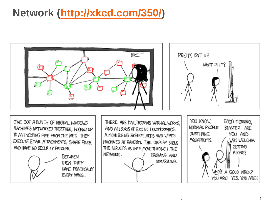#### **Network ([http://xkcd.com/350/\)](http://xkcd.com/350/)**

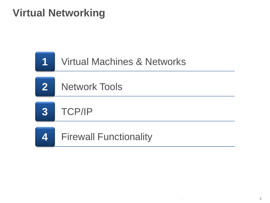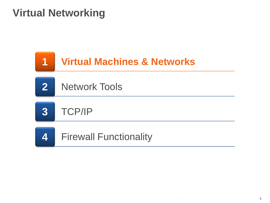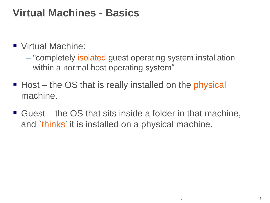#### **Virtual Machines - Basics**

■ Virtual Machine:

– "completely isolated guest operating system installation within a normal host operating system"

- Host the OS that is really installed on the physical machine.
- Guest the OS that sits inside a folder in that machine, and `thinks' it is installed on a physical machine.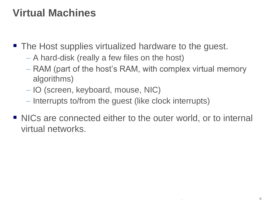#### **Virtual Machines**

- The Host supplies virtualized hardware to the guest.
	- A hard-disk (really a few files on the host)
	- RAM (part of the host's RAM, with complex virtual memory algorithms)
	- IO (screen, keyboard, mouse, NIC)
	- Interrupts to/from the guest (like clock interrupts)
- NICs are connected either to the outer world, or to internal virtual networks.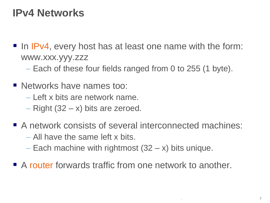#### **IPv4 Networks**

- In IPv4, every host has at least one name with the form: www.xxx.yyy.zzz
	- Each of these four fields ranged from 0 to 255 (1 byte).
- **Networks have names too:** 
	- Left x bits are network name.
	- $-$  Right (32  $-$  x) bits are zeroed.
- A network consists of several interconnected machines:
	- All have the same left x bits.
	- Each machine with rightmost  $(32 x)$  bits unique.
- A router forwards traffic from one network to another.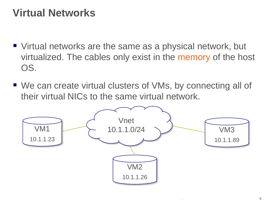#### **Virtual Networks**

- Virtual networks are the same as a physical network, but virtualized. The cables only exist in the memory of the host OS.
- We can create virtual clusters of VMs, by connecting all of their virtual NICs to the same virtual network.

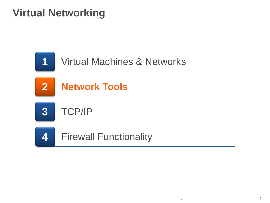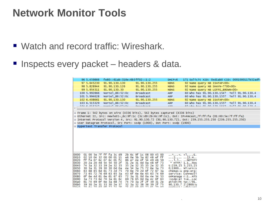#### **Network Monitor Tools**

- Watch and record traffic: Wireshark.
- **Inspects every packet headers & data.**

| 96 5.459866                            | fe80::61ab:318e:6b3ff02::1:2   |                                                                                                                          | DHCPV6      | 171 Solicit XID: 0xd1ab0 CID: 0001000117b32adf                                                         |  |
|----------------------------------------|--------------------------------|--------------------------------------------------------------------------------------------------------------------------|-------------|--------------------------------------------------------------------------------------------------------|--|
| 97 5.645230                            | 91.90.130.130                  | 91.90.130.255                                                                                                            | <b>NBNS</b> | 92 Name query NB ISATAP<00>                                                                            |  |
| 98 5.828944                            | 91.90.130.126                  | 91.90.130.255                                                                                                            | <b>NBNS</b> | 92 Name query NB SHAYN-7700<00>                                                                        |  |
| 99 5.954311                            | 91.90.130.30                   | 91.90.130.255                                                                                                            | <b>NBNS</b> | 92 Name query NB LEFFE_BROWN<00>                                                                       |  |
| 100 5.992866                           | Nortel_86:52:0c                | <b>Broadcast</b>                                                                                                         | <b>ARP</b>  | 60 who has 91.90.130.154? Tell 91.90.130.4                                                             |  |
| 101 5.994628                           | Norte $1_86:52:0c$             | <b>Broadcast</b>                                                                                                         | <b>ARP</b>  | 60 who has 91.90.130.155? Tell 91.90.130.4                                                             |  |
| 102 6.408661                           | 91.90.130.130                  | 91.90.130.255                                                                                                            | <b>NBNS</b> | 92 Name query NB ISATAP<00>                                                                            |  |
| 103 6.515329                           | Nortel 86:52:0c                | <b>Broadcast</b>                                                                                                         | <b>ARP</b>  | 60 who has 91.90.130.155? Tell 91.90.130.4                                                             |  |
| <b>IOA C ESEDAT</b><br>$\triangleleft$ | Hontal OCIEDINA                | Desadeset                                                                                                                | <b>Ann</b>  | could be at on that the rall of on the                                                                 |  |
|                                        |                                |                                                                                                                          |             |                                                                                                        |  |
|                                        |                                | E Frame 1: 542 bytes on wire (4336 bits), 542 bytes captured (4336 bits)                                                 |             |                                                                                                        |  |
|                                        |                                |                                                                                                                          |             | E Ethernet II, Src: Hewlett-_6c:9f:1c (3c:d9:2b:6c:9f:1c), Dst: IPv4mcast_7f:ff:fa (01:00:5e:7f:ff:fa) |  |
|                                        |                                |                                                                                                                          |             | Internet Protocol Version 4, Src: 91.90.130.72 (91.90.130.72), Dst: 239.255.255.250 (239.255.255.250)  |  |
|                                        |                                | E User Datagram Protocol, Src Port: ssdp (1900), Dst Port: ssdp (1900)                                                   |             |                                                                                                        |  |
|                                        | He Hypertext Transfer Protocol |                                                                                                                          |             |                                                                                                        |  |
|                                        |                                |                                                                                                                          |             |                                                                                                        |  |
|                                        |                                |                                                                                                                          |             |                                                                                                        |  |
|                                        |                                |                                                                                                                          |             |                                                                                                        |  |
|                                        |                                |                                                                                                                          |             |                                                                                                        |  |
|                                        |                                |                                                                                                                          |             |                                                                                                        |  |
|                                        |                                |                                                                                                                          |             |                                                                                                        |  |
|                                        |                                |                                                                                                                          |             |                                                                                                        |  |
|                                        |                                |                                                                                                                          |             |                                                                                                        |  |
| 10000                                  |                                | 01 00 5e 7f ff fa 3c d9 2b 6c 9f 1c 08 00 45 00                                                                          |             | .001.001 < .001.001                                                                                    |  |
| 10010                                  | 02 10 04 32 00 00 01 11        | e6 Oe 5b 5a 82 48 ef ff                                                                                                  |             | 2  [Z.H                                                                                                |  |
| 10020                                  | ff fa 07 6c 07 6c 01 fc        | 86 e7 4e 4f 54 49 46 59                                                                                                  |             | 1.1 NOTIFY                                                                                             |  |
| 10030                                  | 20 2a 20 48 54 54 50 2f        | 31 2e 31 0d 0a 48 6f 73                                                                                                  |             | $*$ HTTP/ $1.1.$ . HOS                                                                                 |  |
| 10040<br>10050                         | 74 3a 32 33 39 2e 32 35        | 35 2e 32 35 35 2e 32 35                                                                                                  |             | t:239.25 5.255.25                                                                                      |  |
| 10060                                  |                                | 30 3a 31 39 30 30 0d 0a 4e 54 3a 75 72 6e 3a 73<br>63 68 65 6d 61 73 2d 75 70 6e 70 2d 6f 72 67 3a                       |             | $0:1900.$ . NT:urn:s<br>chemas-u pnp-org:                                                              |  |
| 10070                                  |                                | 73 65 72 76 69 63 65 3a 43 6f 6e 6e 65 63 74 69                                                                          |             | service: Connecti                                                                                      |  |
| 10080                                  |                                | 6f 6e 4d 61 6e 61 67 65 72 3a 31 0d 0a 4e 54 53                                                                          |             | onManage r:1NTS                                                                                        |  |
| 10090                                  | 3a 73 73 64 70 3a 61 6c        | 69 76 65 Od Oa 4c 6f 63                                                                                                  |             | :ssdp:al iveLoc                                                                                        |  |
| l00a0<br>loobo                         | 39 30 2e 31 33 30 2e 37<br>32  | 61 74 69 6f 6e 3a 68 74 74 70 3a 2f 2f 39 31 2e<br>32.<br>2f<br>- 75<br>3a<br>38<br>36<br><b>25 64 69 60 72 61 70 60</b> |             | ation:ht tp://91.<br>90.130.7 2:2869/u                                                                 |  |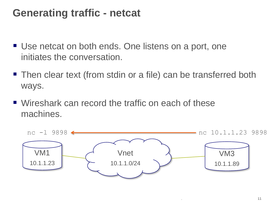#### **Generating traffic - netcat**

- Use netcat on both ends. One listens on a port, one initiates the conversation.
- Then clear text (from stdin or a file) can be transferred both ways.
- Wireshark can record the traffic on each of these machines.

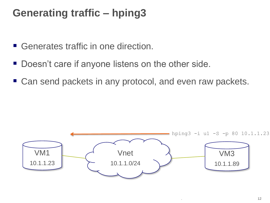# **Generating traffic – hping3**

- Generates traffic in one direction.
- Doesn't care if anyone listens on the other side.
- Can send packets in any protocol, and even raw packets.

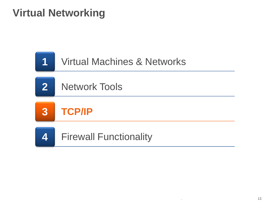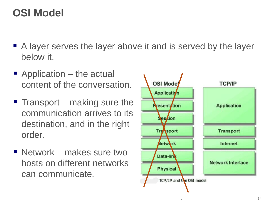# **OSI Model**

- A layer serves the layer above it and is served by the layer below it.
- Application the actual content of the conversation.
- $\blacksquare$  Transport making sure the communication arrives to its destination, and in the right order.
- Network makes sure two hosts on different networks can communicate.

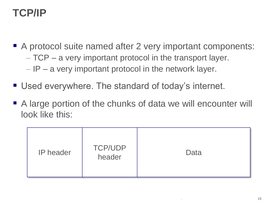# **TCP/IP**

- A protocol suite named after 2 very important components: – TCP – a very important protocol in the transport layer.  $-$  IP – a very important protocol in the network layer.
- Used everywhere. The standard of today's internet.
- A large portion of the chunks of data we will encounter will look like this:

| <b>TCP/UDP</b><br><b>IP</b> header<br>header | Data |
|----------------------------------------------|------|
|----------------------------------------------|------|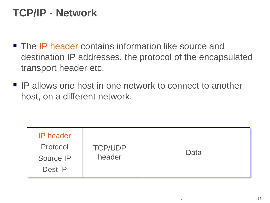# **TCP/IP - Network**

- **The IP header contains information like source and** destination IP addresses, the protocol of the encapsulated transport header etc.
- **IP allows one host in one network to connect to another** host, on a different network.

| <b>IP</b> header<br>Protocol<br>Source IP<br>Dest <b>IP</b> | <b>TCP/UDP</b><br>header | Data |
|-------------------------------------------------------------|--------------------------|------|
|-------------------------------------------------------------|--------------------------|------|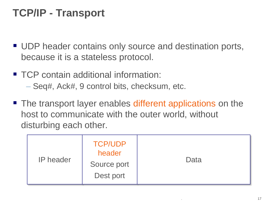# **TCP/IP - Transport**

- **UDP** header contains only source and destination ports, because it is a stateless protocol.
- TCP contain additional information:
	- Seq#, Ack#, 9 control bits, checksum, etc.
- The transport layer enables different applications on the host to communicate with the outer world, without disturbing each other.

| <b>TCP/UDP</b><br>header<br><b>IP</b> header<br>Source port<br>Dest port | Data |
|--------------------------------------------------------------------------|------|
|--------------------------------------------------------------------------|------|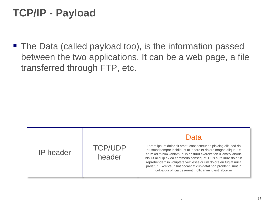# **TCP/IP - Payload**

■ The Data (called payload too), is the information passed between the two applications. It can be a web page, a file transferred through FTP, etc.

|                  |                          | Data                                                                                                                                                                                                                                                                                                                                                                                                                                                                            |
|------------------|--------------------------|---------------------------------------------------------------------------------------------------------------------------------------------------------------------------------------------------------------------------------------------------------------------------------------------------------------------------------------------------------------------------------------------------------------------------------------------------------------------------------|
| <b>IP</b> header | <b>TCP/UDP</b><br>header | Lorem ipsum dolor sit amet, consectetur adipisicing elit, sed do<br>eiusmod tempor incididunt ut labore et dolore magna aliqua. Ut<br>enim ad minim veniam, quis nostrud exercitation ullamco laboris<br>nisi ut aliquip ex ea commodo consequat. Duis aute irure dolor in<br>reprehenderit in voluptate velit esse cillum dolore eu fugiat nulla<br>pariatur. Excepteur sint occaecat cupidatat non proident, sunt in<br>culpa qui officia deserunt mollit anim id est laborum |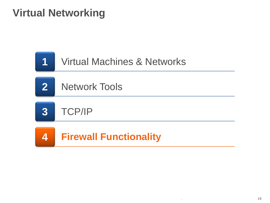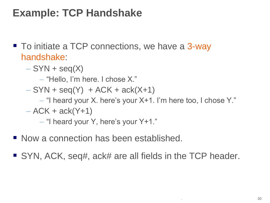# **Example: TCP Handshake**

- To initiate a TCP connections, we have a 3-way handshake:
	- $-$  SYN + seq(X)
		- "Hello, I'm here. I chose X."
	- $-$  SYN + seq(Y) + ACK + ack(X+1)
		- "I heard your X. here's your X+1. I'm here too, I chose Y."

 $-$  ACK + ack(Y+1)

– "I heard your Y, here's your Y+1."

- Now a connection has been established.
- SYN, ACK, seq#, ack# are all fields in the TCP header.